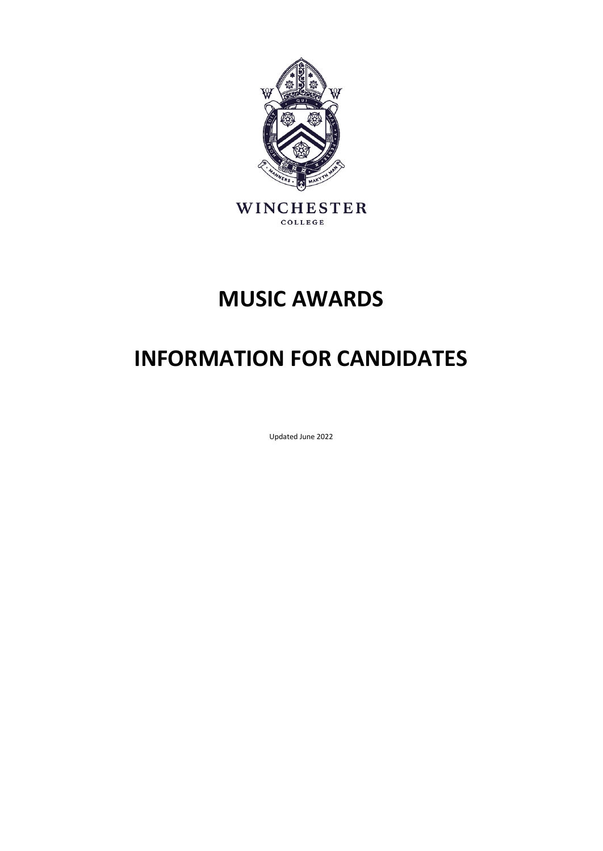

## **MUSIC AWARDS**

# **INFORMATION FOR CANDIDATES**

Updated June 2022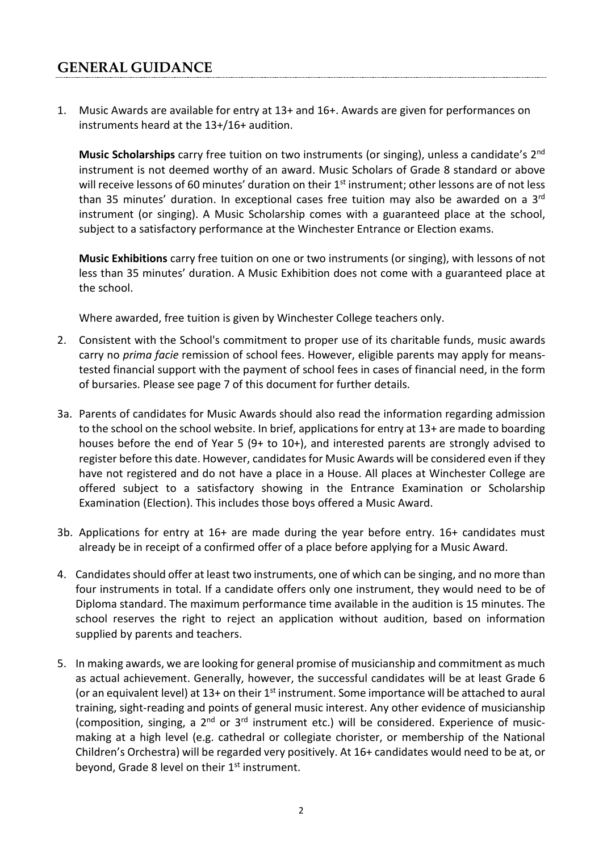### **GENERAL GUIDANCE**

1. Music Awards are available for entry at 13+ and 16+. Awards are given for performances on instruments heard at the 13+/16+ audition.

**Music Scholarships** carry free tuition on two instruments (or singing), unless a candidate's 2nd instrument is not deemed worthy of an award. Music Scholars of Grade 8 standard or above will receive lessons of 60 minutes' duration on their 1<sup>st</sup> instrument; other lessons are of not less than 35 minutes' duration. In exceptional cases free tuition may also be awarded on a 3rd instrument (or singing). A Music Scholarship comes with a guaranteed place at the school, subject to a satisfactory performance at the Winchester Entrance or Election exams.

**Music Exhibitions** carry free tuition on one or two instruments (or singing), with lessons of not less than 35 minutes' duration. A Music Exhibition does not come with a guaranteed place at the school.

Where awarded, free tuition is given by Winchester College teachers only.

- 2. Consistent with the School's commitment to proper use of its charitable funds, music awards carry no *prima facie* remission of school fees. However, eligible parents may apply for meanstested financial support with the payment of school fees in cases of financial need, in the form of bursaries. Please see page 7 of this document for further details.
- 3a. Parents of candidates for Music Awards should also read the information regarding admission to the school on the school website. In brief, applications for entry at 13+ are made to boarding houses before the end of Year 5 (9+ to 10+), and interested parents are strongly advised to register before this date. However, candidates for Music Awards will be considered even if they have not registered and do not have a place in a House. All places at Winchester College are offered subject to a satisfactory showing in the Entrance Examination or Scholarship Examination (Election). This includes those boys offered a Music Award.
- 3b. Applications for entry at 16+ are made during the year before entry. 16+ candidates must already be in receipt of a confirmed offer of a place before applying for a Music Award.
- 4. Candidates should offer at least two instruments, one of which can be singing, and no more than four instruments in total. If a candidate offers only one instrument, they would need to be of Diploma standard. The maximum performance time available in the audition is 15 minutes. The school reserves the right to reject an application without audition, based on information supplied by parents and teachers.
- 5. In making awards, we are looking for general promise of musicianship and commitment as much as actual achievement. Generally, however, the successful candidates will be at least Grade 6 (or an equivalent level) at  $13+$  on their  $1<sup>st</sup>$  instrument. Some importance will be attached to aural training, sight-reading and points of general music interest. Any other evidence of musicianship (composition, singing, a  $2^{nd}$  or  $3^{rd}$  instrument etc.) will be considered. Experience of musicmaking at a high level (e.g. cathedral or collegiate chorister, or membership of the National Children's Orchestra) will be regarded very positively. At 16+ candidates would need to be at, or beyond, Grade 8 level on their  $1<sup>st</sup>$  instrument.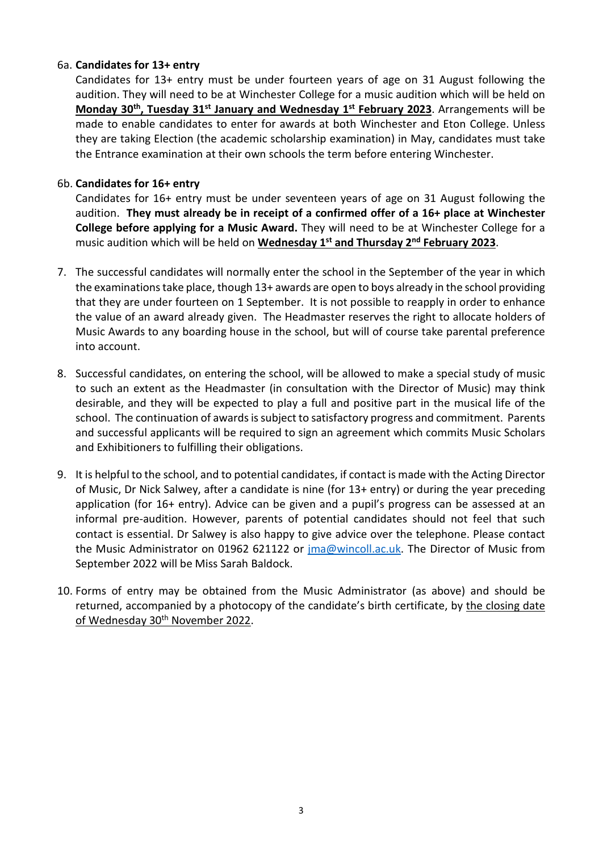#### 6a. **Candidates for 13+ entry**

Candidates for 13+ entry must be under fourteen years of age on 31 August following the audition. They will need to be at Winchester College for a music audition which will be held on **Monday 30th, Tuesday 31st January and Wednesday 1st February 2023**. Arrangements will be made to enable candidates to enter for awards at both Winchester and Eton College. Unless they are taking Election (the academic scholarship examination) in May, candidates must take the Entrance examination at their own schools the term before entering Winchester.

#### 6b. **Candidates for 16+ entry**

Candidates for 16+ entry must be under seventeen years of age on 31 August following the audition. **They must already be in receipt of a confirmed offer of a 16+ place at Winchester College before applying for a Music Award.** They will need to be at Winchester College for a music audition which will be held on **Wednesday 1st and Thursday 2nd February 2023**.

- 7. The successful candidates will normally enter the school in the September of the year in which the examinations take place, though 13+ awards are open to boys already in the school providing that they are under fourteen on 1 September. It is not possible to reapply in order to enhance the value of an award already given. The Headmaster reserves the right to allocate holders of Music Awards to any boarding house in the school, but will of course take parental preference into account.
- 8. Successful candidates, on entering the school, will be allowed to make a special study of music to such an extent as the Headmaster (in consultation with the Director of Music) may think desirable, and they will be expected to play a full and positive part in the musical life of the school. The continuation of awards is subject to satisfactory progress and commitment. Parents and successful applicants will be required to sign an agreement which commits Music Scholars and Exhibitioners to fulfilling their obligations.
- 9. It is helpful to the school, and to potential candidates, if contact is made with the Acting Director of Music, Dr Nick Salwey, after a candidate is nine (for 13+ entry) or during the year preceding application (for 16+ entry). Advice can be given and a pupil's progress can be assessed at an informal pre-audition. However, parents of potential candidates should not feel that such contact is essential. Dr Salwey is also happy to give advice over the telephone. Please contact the Music Administrator on 01962 621122 or [jma@wincoll.ac.uk.](mailto:jma@wincoll.ac.uk) The Director of Music from September 2022 will be Miss Sarah Baldock.
- 10. Forms of entry may be obtained from the Music Administrator (as above) and should be returned, accompanied by a photocopy of the candidate's birth certificate, by the closing date of Wednesday 30<sup>th</sup> November 2022.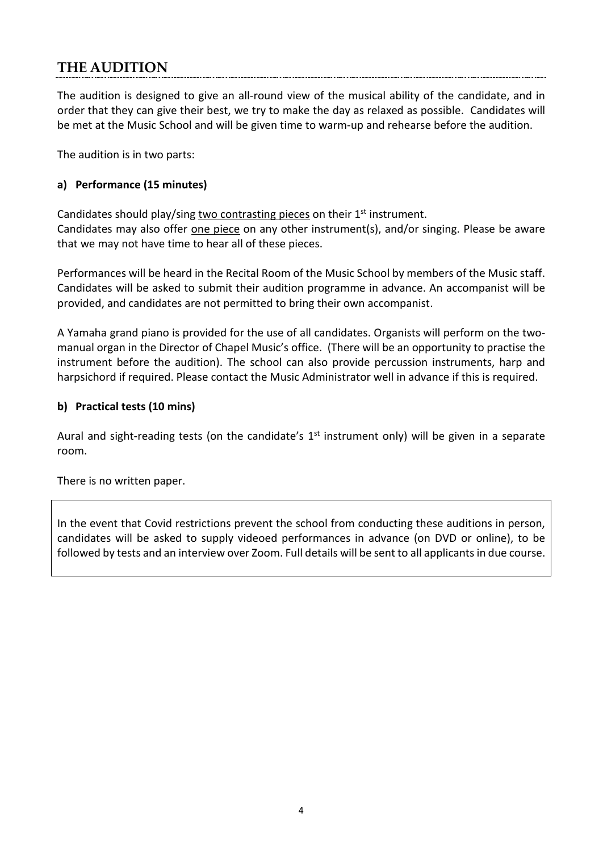## **THE AUDITION**

The audition is designed to give an all-round view of the musical ability of the candidate, and in order that they can give their best, we try to make the day as relaxed as possible. Candidates will be met at the Music School and will be given time to warm-up and rehearse before the audition.

The audition is in two parts:

#### **a) Performance (15 minutes)**

Candidates should play/sing two contrasting pieces on their 1<sup>st</sup> instrument. Candidates may also offer one piece on any other instrument(s), and/or singing. Please be aware that we may not have time to hear all of these pieces.

Performances will be heard in the Recital Room of the Music School by members of the Music staff. Candidates will be asked to submit their audition programme in advance. An accompanist will be provided, and candidates are not permitted to bring their own accompanist.

A Yamaha grand piano is provided for the use of all candidates. Organists will perform on the twomanual organ in the Director of Chapel Music's office. (There will be an opportunity to practise the instrument before the audition). The school can also provide percussion instruments, harp and harpsichord if required. Please contact the Music Administrator well in advance if this is required.

#### **b) Practical tests (10 mins)**

Aural and sight-reading tests (on the candidate's  $1<sup>st</sup>$  instrument only) will be given in a separate room.

There is no written paper.

In the event that Covid restrictions prevent the school from conducting these auditions in person, candidates will be asked to supply videoed performances in advance (on DVD or online), to be followed by tests and an interview over Zoom. Full details will be sent to all applicants in due course.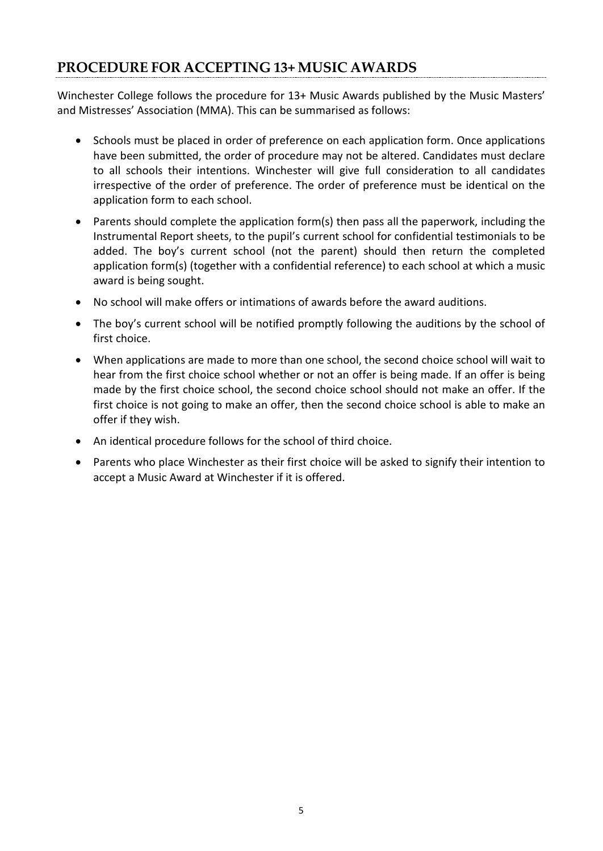## **PROCEDURE FOR ACCEPTING 13+ MUSIC AWARDS**

Winchester College follows the procedure for 13+ Music Awards published by the Music Masters' and Mistresses' Association (MMA). This can be summarised as follows:

- Schools must be placed in order of preference on each application form. Once applications have been submitted, the order of procedure may not be altered. Candidates must declare to all schools their intentions. Winchester will give full consideration to all candidates irrespective of the order of preference. The order of preference must be identical on the application form to each school.
- Parents should complete the application form(s) then pass all the paperwork, including the Instrumental Report sheets, to the pupil's current school for confidential testimonials to be added. The boy's current school (not the parent) should then return the completed application form(s) (together with a confidential reference) to each school at which a music award is being sought.
- No school will make offers or intimations of awards before the award auditions.
- The boy's current school will be notified promptly following the auditions by the school of first choice.
- When applications are made to more than one school, the second choice school will wait to hear from the first choice school whether or not an offer is being made. If an offer is being made by the first choice school, the second choice school should not make an offer. If the first choice is not going to make an offer, then the second choice school is able to make an offer if they wish.
- An identical procedure follows for the school of third choice.
- Parents who place Winchester as their first choice will be asked to signify their intention to accept a Music Award at Winchester if it is offered.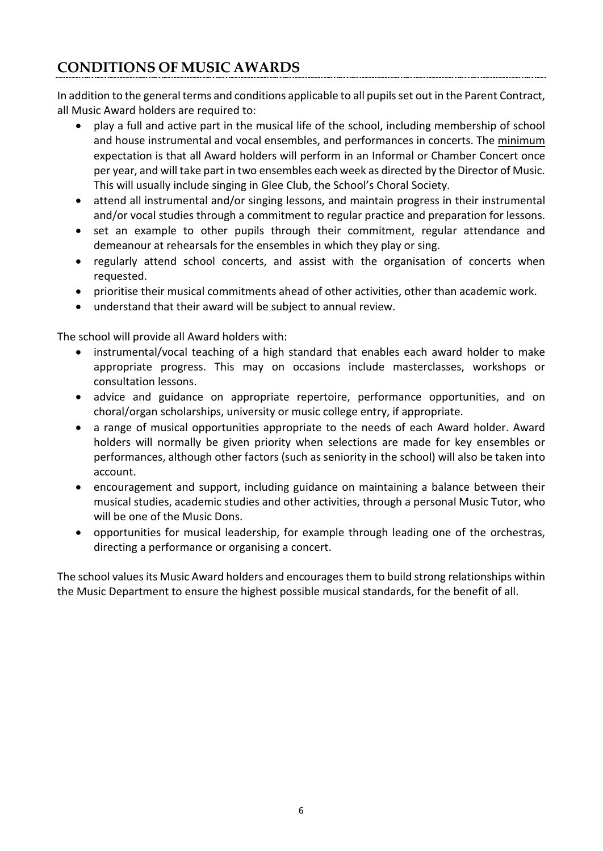## **CONDITIONS OF MUSIC AWARDS**

In addition to the general terms and conditions applicable to all pupils set out in the Parent Contract, all Music Award holders are required to:

- play a full and active part in the musical life of the school, including membership of school and house instrumental and vocal ensembles, and performances in concerts. The minimum expectation is that all Award holders will perform in an Informal or Chamber Concert once per year, and will take part in two ensembles each week as directed by the Director of Music. This will usually include singing in Glee Club, the School's Choral Society.
- attend all instrumental and/or singing lessons, and maintain progress in their instrumental and/or vocal studies through a commitment to regular practice and preparation for lessons.
- set an example to other pupils through their commitment, regular attendance and demeanour at rehearsals for the ensembles in which they play or sing.
- regularly attend school concerts, and assist with the organisation of concerts when requested.
- prioritise their musical commitments ahead of other activities, other than academic work.
- understand that their award will be subject to annual review.

The school will provide all Award holders with:

- instrumental/vocal teaching of a high standard that enables each award holder to make appropriate progress. This may on occasions include masterclasses, workshops or consultation lessons.
- advice and guidance on appropriate repertoire, performance opportunities, and on choral/organ scholarships, university or music college entry, if appropriate.
- a range of musical opportunities appropriate to the needs of each Award holder. Award holders will normally be given priority when selections are made for key ensembles or performances, although other factors (such as seniority in the school) will also be taken into account.
- encouragement and support, including guidance on maintaining a balance between their musical studies, academic studies and other activities, through a personal Music Tutor, who will be one of the Music Dons.
- opportunities for musical leadership, for example through leading one of the orchestras, directing a performance or organising a concert.

The school values its Music Award holders and encourages them to build strong relationships within the Music Department to ensure the highest possible musical standards, for the benefit of all.